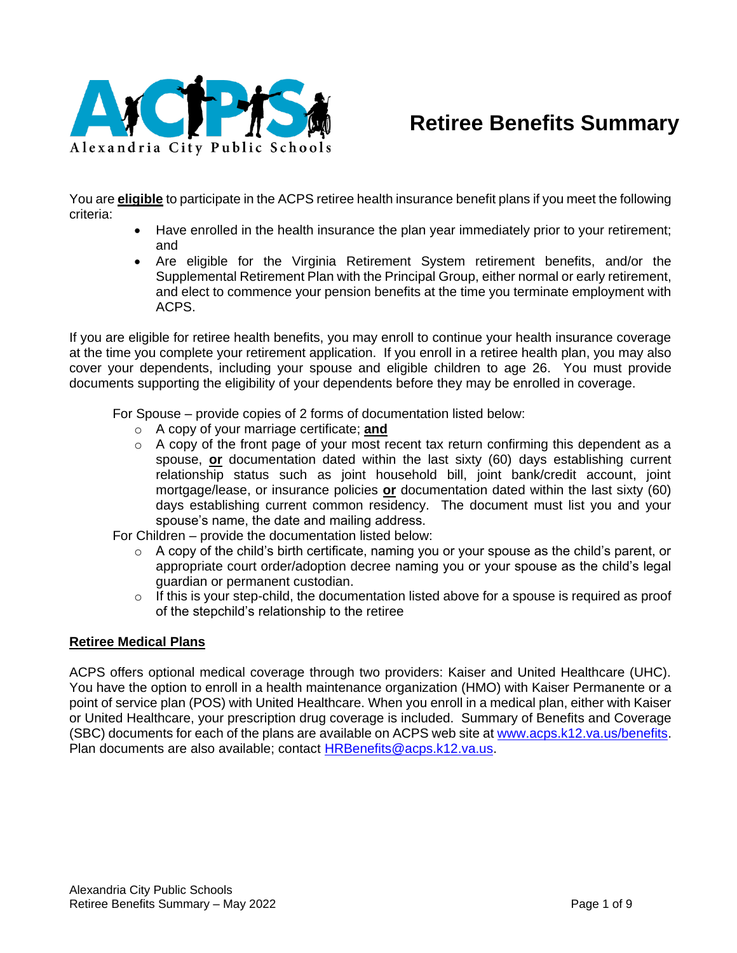

# **Retiree Benefits Summary**

You are **eligible** to participate in the ACPS retiree health insurance benefit plans if you meet the following criteria:

- Have enrolled in the health insurance the plan year immediately prior to your retirement; and
- Are eligible for the Virginia Retirement System retirement benefits, and/or the Supplemental Retirement Plan with the Principal Group, either normal or early retirement, and elect to commence your pension benefits at the time you terminate employment with ACPS.

If you are eligible for retiree health benefits, you may enroll to continue your health insurance coverage at the time you complete your retirement application. If you enroll in a retiree health plan, you may also cover your dependents, including your spouse and eligible children to age 26. You must provide documents supporting the eligibility of your dependents before they may be enrolled in coverage.

For Spouse – provide copies of 2 forms of documentation listed below:

- o A copy of your marriage certificate; **and**
- $\circ$  A copy of the front page of your most recent tax return confirming this dependent as a spouse, **or** documentation dated within the last sixty (60) days establishing current relationship status such as joint household bill, joint bank/credit account, joint mortgage/lease, or insurance policies **or** documentation dated within the last sixty (60) days establishing current common residency. The document must list you and your spouse's name, the date and mailing address.

For Children – provide the documentation listed below:

- $\circ$  A copy of the child's birth certificate, naming you or your spouse as the child's parent, or appropriate court order/adoption decree naming you or your spouse as the child's legal guardian or permanent custodian.
- $\circ$  If this is your step-child, the documentation listed above for a spouse is required as proof of the stepchild's relationship to the retiree

#### **Retiree Medical Plans**

ACPS offers optional medical coverage through two providers: Kaiser and United Healthcare (UHC). You have the option to enroll in a health maintenance organization (HMO) with Kaiser Permanente or a point of service plan (POS) with United Healthcare. When you enroll in a medical plan, either with Kaiser or United Healthcare, your prescription drug coverage is included. Summary of Benefits and Coverage (SBC) documents for each of the plans are available on ACPS web site at [www.acps.k12.va.us/benefits.](http://www.acps.k12.va.us/benefits) Plan documents are also available; contact [HRBenefits@acps.k12.va.us.](mailto:HRBenefits@acps.k12.va.us)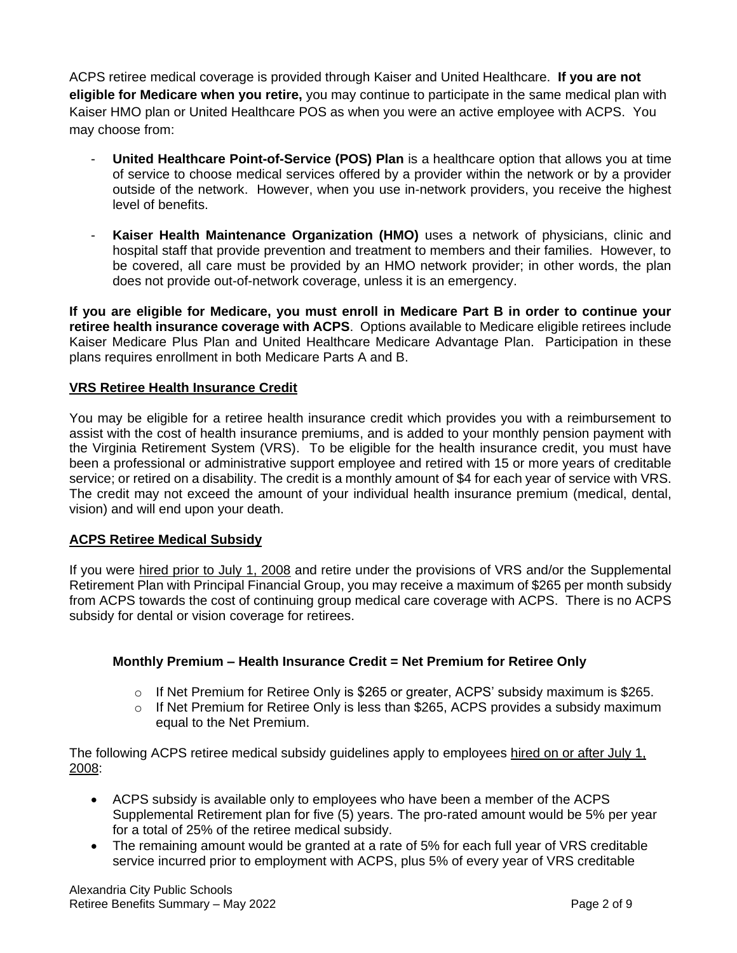ACPS retiree medical coverage is provided through Kaiser and United Healthcare. **If you are not eligible for Medicare when you retire,** you may continue to participate in the same medical plan with Kaiser HMO plan or United Healthcare POS as when you were an active employee with ACPS. You may choose from:

- **United Healthcare Point-of-Service (POS) Plan** is a healthcare option that allows you at time of service to choose medical services offered by a provider within the network or by a provider outside of the network. However, when you use in-network providers, you receive the highest level of benefits.
- **Kaiser Health Maintenance Organization (HMO)** uses a network of physicians, clinic and hospital staff that provide prevention and treatment to members and their families. However, to be covered, all care must be provided by an HMO network provider; in other words, the plan does not provide out-of-network coverage, unless it is an emergency.

**If you are eligible for Medicare, you must enroll in Medicare Part B in order to continue your retiree health insurance coverage with ACPS**. Options available to Medicare eligible retirees include Kaiser Medicare Plus Plan and United Healthcare Medicare Advantage Plan. Participation in these plans requires enrollment in both Medicare Parts A and B.

# **VRS Retiree Health Insurance Credit**

You may be eligible for a retiree health insurance credit which provides you with a reimbursement to assist with the cost of health insurance premiums, and is added to your monthly pension payment with the Virginia Retirement System (VRS). To be eligible for the health insurance credit, you must have been a professional or administrative support employee and retired with 15 or more years of creditable service; or retired on a disability. The credit is a monthly amount of \$4 for each year of service with VRS. The credit may not exceed the amount of your individual health insurance premium (medical, dental, vision) and will end upon your death.

# **ACPS Retiree Medical Subsidy**

If you were hired prior to July 1, 2008 and retire under the provisions of VRS and/or the Supplemental Retirement Plan with Principal Financial Group, you may receive a maximum of \$265 per month subsidy from ACPS towards the cost of continuing group medical care coverage with ACPS. There is no ACPS subsidy for dental or vision coverage for retirees.

# **Monthly Premium – Health Insurance Credit = Net Premium for Retiree Only**

- $\circ$  If Net Premium for Retiree Only is \$265 or greater, ACPS' subsidy maximum is \$265.
- $\circ$  If Net Premium for Retiree Only is less than \$265, ACPS provides a subsidy maximum equal to the Net Premium.

The following ACPS retiree medical subsidy guidelines apply to employees hired on or after July 1, 2008:

- ACPS subsidy is available only to employees who have been a member of the ACPS Supplemental Retirement plan for five (5) years. The pro-rated amount would be 5% per year for a total of 25% of the retiree medical subsidy.
- The remaining amount would be granted at a rate of 5% for each full year of VRS creditable service incurred prior to employment with ACPS, plus 5% of every year of VRS creditable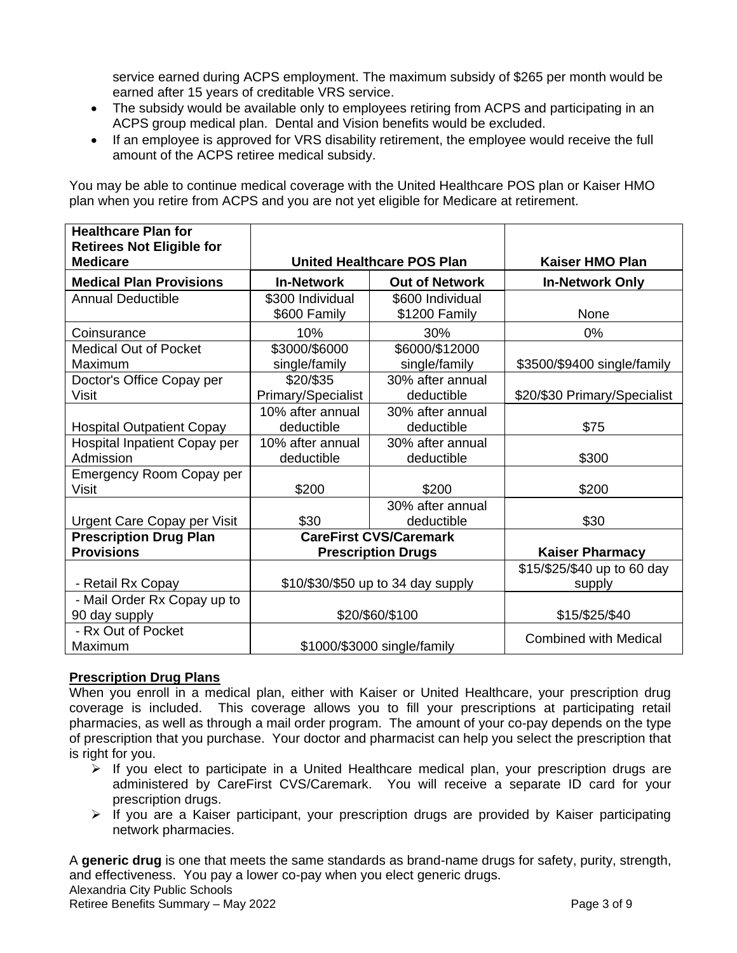service earned during ACPS employment. The maximum subsidy of \$265 per month would be earned after 15 years of creditable VRS service.

- The subsidy would be available only to employees retiring from ACPS and participating in an ACPS group medical plan. Dental and Vision benefits would be excluded.
- If an employee is approved for VRS disability retirement, the employee would receive the full amount of the ACPS retiree medical subsidy.

You may be able to continue medical coverage with the United Healthcare POS plan or Kaiser HMO plan when you retire from ACPS and you are not yet eligible for Medicare at retirement.

| <b>Healthcare Plan for</b><br><b>Retirees Not Eligible for</b> |                                    |                                   |                                       |
|----------------------------------------------------------------|------------------------------------|-----------------------------------|---------------------------------------|
| <b>Medicare</b>                                                | <b>United Healthcare POS Plan</b>  |                                   | <b>Kaiser HMO Plan</b>                |
| <b>Medical Plan Provisions</b>                                 | <b>In-Network</b>                  | <b>Out of Network</b>             | <b>In-Network Only</b>                |
| <b>Annual Deductible</b>                                       | \$300 Individual<br>\$600 Family   | \$600 Individual<br>\$1200 Family | None                                  |
| Coinsurance                                                    | 10%                                | 30%                               | 0%                                    |
| <b>Medical Out of Pocket</b><br>Maximum                        | \$3000/\$6000<br>single/family     | \$6000/\$12000<br>single/family   | \$3500/\$9400 single/family           |
| Doctor's Office Copay per<br><b>Visit</b>                      | \$20/\$35<br>Primary/Specialist    | 30% after annual<br>deductible    | \$20/\$30 Primary/Specialist          |
| <b>Hospital Outpatient Copay</b>                               | 10% after annual<br>deductible     | 30% after annual<br>deductible    | \$75                                  |
| Hospital Inpatient Copay per<br>Admission                      | 10% after annual<br>deductible     | 30% after annual<br>deductible    | \$300                                 |
| Emergency Room Copay per<br><b>Visit</b>                       | \$200                              | \$200                             | \$200                                 |
| <b>Urgent Care Copay per Visit</b>                             | \$30                               | 30% after annual<br>deductible    | \$30                                  |
| <b>Prescription Drug Plan</b>                                  |                                    | <b>CareFirst CVS/Caremark</b>     |                                       |
| <b>Provisions</b>                                              |                                    | <b>Prescription Drugs</b>         | <b>Kaiser Pharmacy</b>                |
| - Retail Rx Copay                                              | \$10/\$30/\$50 up to 34 day supply |                                   | \$15/\$25/\$40 up to 60 day<br>supply |
| - Mail Order Rx Copay up to<br>90 day supply                   | \$20/\$60/\$100                    |                                   | \$15/\$25/\$40                        |
| - Rx Out of Pocket<br>Maximum                                  | \$1000/\$3000 single/family        |                                   | <b>Combined with Medical</b>          |

# **Prescription Drug Plans**

When you enroll in a medical plan, either with Kaiser or United Healthcare, your prescription drug coverage is included. This coverage allows you to fill your prescriptions at participating retail pharmacies, as well as through a mail order program. The amount of your co-pay depends on the type of prescription that you purchase. Your doctor and pharmacist can help you select the prescription that is right for you.

- $\triangleright$  If you elect to participate in a United Healthcare medical plan, your prescription drugs are administered by CareFirst CVS/Caremark. You will receive a separate ID card for your prescription drugs.
- ➢ If you are a Kaiser participant, your prescription drugs are provided by Kaiser participating network pharmacies.

Alexandria City Public Schools Retiree Benefits Summary – May 2022 **Page 3 of 9** and 2012 A **generic drug** is one that meets the same standards as brand-name drugs for safety, purity, strength, and effectiveness. You pay a lower co-pay when you elect generic drugs.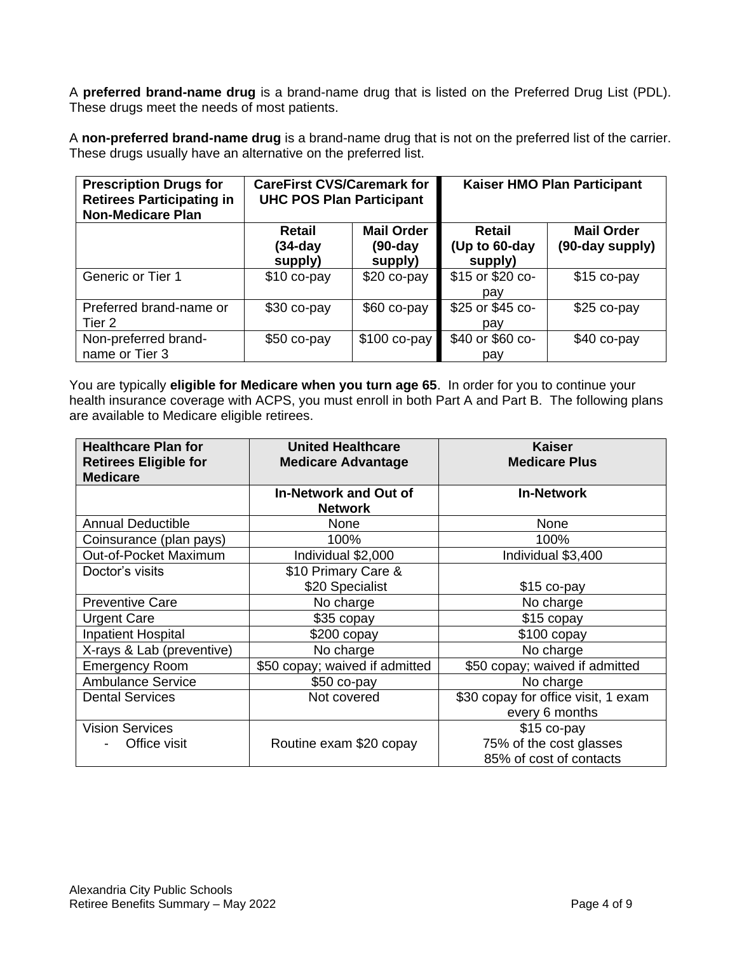A **preferred brand-name drug** is a brand-name drug that is listed on the Preferred Drug List (PDL). These drugs meet the needs of most patients.

A **non-preferred brand-name drug** is a brand-name drug that is not on the preferred list of the carrier. These drugs usually have an alternative on the preferred list.

| <b>Prescription Drugs for</b><br><b>Retirees Participating in</b><br><b>Non-Medicare Plan</b> | <b>CareFirst CVS/Caremark for</b><br><b>UHC POS Plan Participant</b> |                                            | Kaiser HMO Plan Participant               |                                      |
|-----------------------------------------------------------------------------------------------|----------------------------------------------------------------------|--------------------------------------------|-------------------------------------------|--------------------------------------|
|                                                                                               | Retail<br>(34-day<br>supply)                                         | <b>Mail Order</b><br>$(90-day)$<br>supply) | <b>Retail</b><br>(Up to 60-day<br>supply) | <b>Mail Order</b><br>(90-day supply) |
| <b>Generic or Tier 1</b>                                                                      | $$10$ co-pay                                                         | $$20 co-pay$                               | \$15 or \$20 co-<br>pay                   | $$15$ co-pay                         |
| Preferred brand-name or<br>Tier 2                                                             | \$30 co-pay                                                          | \$60 co-pay                                | \$25 or \$45 co-<br>pay                   | \$25 co-pay                          |
| Non-preferred brand-<br>name or Tier 3                                                        | \$50 co-pay                                                          | $$100 co-pay$                              | \$40 or \$60 co-<br>pay                   | $$40$ co-pay                         |

You are typically **eligible for Medicare when you turn age 65**. In order for you to continue your health insurance coverage with ACPS, you must enroll in both Part A and Part B. The following plans are available to Medicare eligible retirees.

| <b>Healthcare Plan for</b>   | <b>United Healthcare</b>       | Kaiser                              |
|------------------------------|--------------------------------|-------------------------------------|
| <b>Retirees Eligible for</b> | <b>Medicare Advantage</b>      | <b>Medicare Plus</b>                |
| <b>Medicare</b>              |                                |                                     |
|                              | <b>In-Network and Out of</b>   | <b>In-Network</b>                   |
|                              | <b>Network</b>                 |                                     |
| <b>Annual Deductible</b>     | None                           | <b>None</b>                         |
| Coinsurance (plan pays)      | 100%                           | 100%                                |
| Out-of-Pocket Maximum        | Individual \$2,000             | Individual \$3,400                  |
| Doctor's visits              | \$10 Primary Care &            |                                     |
|                              | \$20 Specialist                | \$15 co-pay                         |
| <b>Preventive Care</b>       | No charge                      | No charge                           |
| <b>Urgent Care</b>           | \$35 copay                     | $$15$ copay                         |
| <b>Inpatient Hospital</b>    | \$200 copay                    | $$100$ copay                        |
| X-rays & Lab (preventive)    | No charge                      | No charge                           |
| <b>Emergency Room</b>        | \$50 copay; waived if admitted | \$50 copay; waived if admitted      |
| <b>Ambulance Service</b>     | $$50$ co-pay                   | No charge                           |
| <b>Dental Services</b>       | Not covered                    | \$30 copay for office visit, 1 exam |
|                              |                                | every 6 months                      |
| <b>Vision Services</b>       |                                | $$15$ co-pay                        |
| Office visit                 | Routine exam \$20 copay        | 75% of the cost glasses             |
|                              |                                | 85% of cost of contacts             |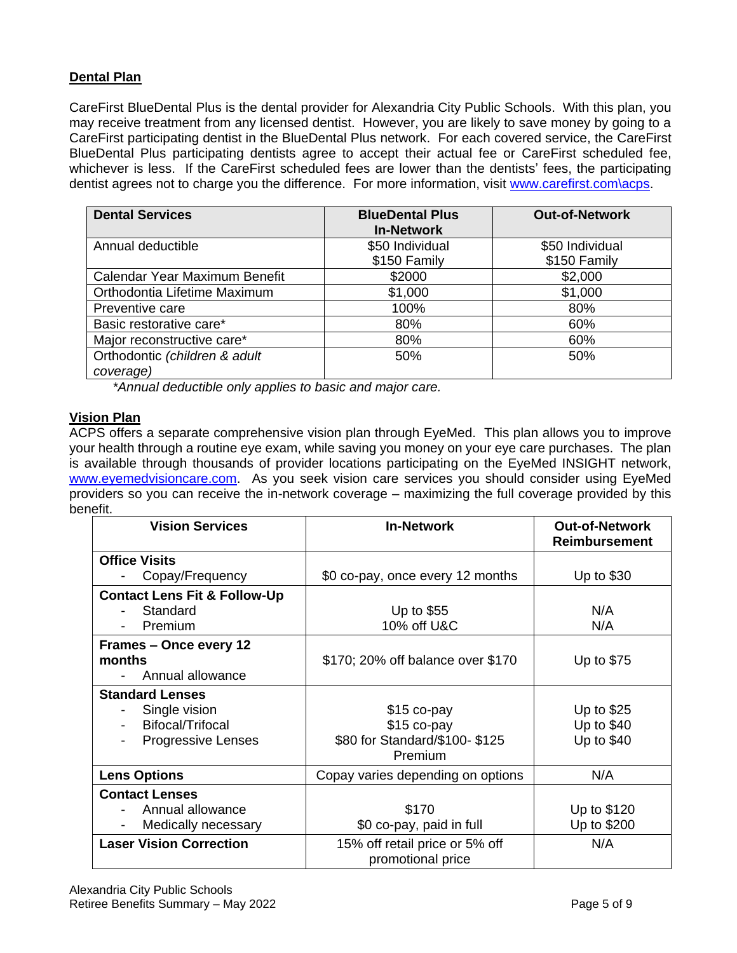# **Dental Plan**

CareFirst BlueDental Plus is the dental provider for Alexandria City Public Schools. With this plan, you may receive treatment from any licensed dentist. However, you are likely to save money by going to a CareFirst participating dentist in the BlueDental Plus network. For each covered service, the CareFirst BlueDental Plus participating dentists agree to accept their actual fee or CareFirst scheduled fee, whichever is less. If the CareFirst scheduled fees are lower than the dentists' fees, the participating dentist agrees not to charge you the difference. For more information, visit [www.carefirst.com\acps.](file://///COMS1/HOME/Benefits/Open%20Enrollment/May%202019%20OE/Retirees/www.carefirst.com/acps)

| <b>Dental Services</b>                     | <b>BlueDental Plus</b><br><b>In-Network</b> | <b>Out-of-Network</b>           |
|--------------------------------------------|---------------------------------------------|---------------------------------|
| Annual deductible                          | \$50 Individual<br>\$150 Family             | \$50 Individual<br>\$150 Family |
| Calendar Year Maximum Benefit              | \$2000                                      | \$2,000                         |
| Orthodontia Lifetime Maximum               | \$1,000                                     | \$1,000                         |
| Preventive care                            | 100%                                        | 80%                             |
| Basic restorative care*                    | 80%                                         | 60%                             |
| Major reconstructive care*                 | 80%                                         | 60%                             |
| Orthodontic (children & adult<br>coverage) | 50%                                         | 50%                             |

*\*Annual deductible only applies to basic and major care.*

# **Vision Plan**

ACPS offers a separate comprehensive vision plan through EyeMed. This plan allows you to improve your health through a routine eye exam, while saving you money on your eye care purchases. The plan is available through thousands of provider locations participating on the EyeMed INSIGHT network, [www.eyemedvisioncare.com.](http://www.eyemedvisioncare.com/) As you seek vision care services you should consider using EyeMed providers so you can receive the in-network coverage – maximizing the full coverage provided by this benefit.

| <b>Vision Services</b>                  | <b>In-Network</b>                                   | <b>Out-of-Network</b><br><b>Reimbursement</b> |
|-----------------------------------------|-----------------------------------------------------|-----------------------------------------------|
| <b>Office Visits</b>                    |                                                     |                                               |
| Copay/Frequency                         | \$0 co-pay, once every 12 months                    | Up to $$30$                                   |
| <b>Contact Lens Fit &amp; Follow-Up</b> |                                                     |                                               |
| Standard                                | Up to $$55$                                         | N/A                                           |
| Premium                                 | 10% off U&C                                         | N/A                                           |
| Frames - Once every 12                  |                                                     |                                               |
| months                                  | \$170; 20% off balance over \$170                   | Up to \$75                                    |
| Annual allowance                        |                                                     |                                               |
| <b>Standard Lenses</b>                  |                                                     |                                               |
| Single vision                           | $$15$ co-pay                                        | Up to $$25$                                   |
| Bifocal/Trifocal                        | \$15 co-pay                                         | Up to $$40$                                   |
| Progressive Lenses                      | \$80 for Standard/\$100-\$125<br>Premium            | Up to \$40                                    |
| <b>Lens Options</b>                     | Copay varies depending on options                   | N/A                                           |
|                                         |                                                     |                                               |
| <b>Contact Lenses</b>                   |                                                     |                                               |
| Annual allowance                        | \$170                                               | Up to \$120                                   |
| Medically necessary                     | \$0 co-pay, paid in full                            | Up to \$200                                   |
| <b>Laser Vision Correction</b>          | 15% off retail price or 5% off<br>promotional price | N/A                                           |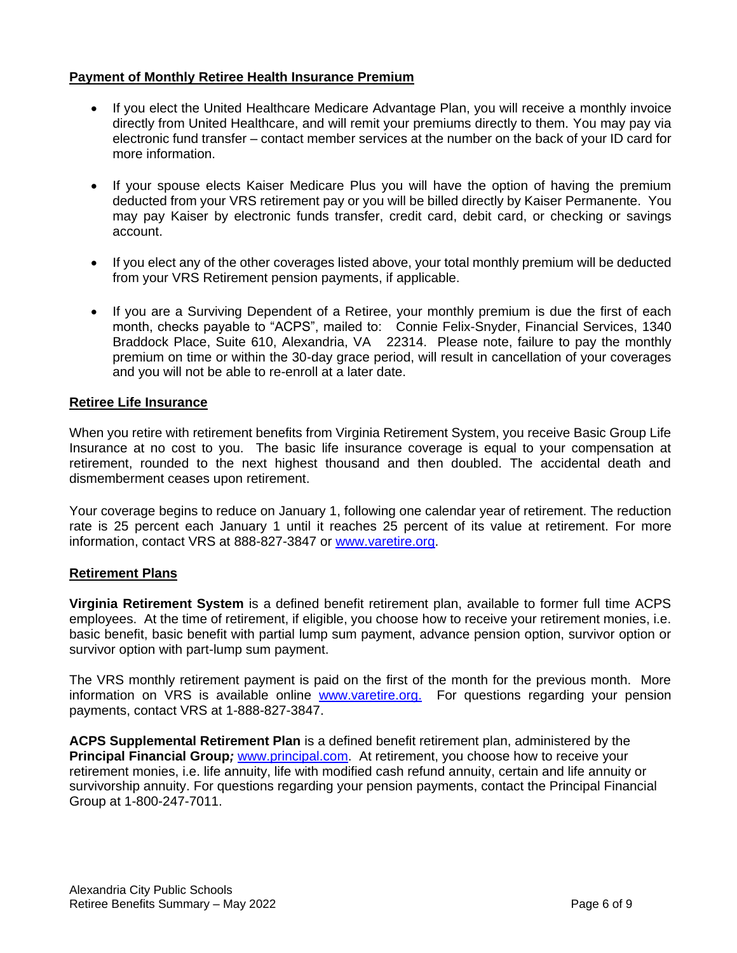#### **Payment of Monthly Retiree Health Insurance Premium**

- If you elect the United Healthcare Medicare Advantage Plan, you will receive a monthly invoice directly from United Healthcare, and will remit your premiums directly to them. You may pay via electronic fund transfer – contact member services at the number on the back of your ID card for more information.
- If your spouse elects Kaiser Medicare Plus you will have the option of having the premium deducted from your VRS retirement pay or you will be billed directly by Kaiser Permanente. You may pay Kaiser by electronic funds transfer, credit card, debit card, or checking or savings account.
- If you elect any of the other coverages listed above, your total monthly premium will be deducted from your VRS Retirement pension payments, if applicable.
- If you are a Surviving Dependent of a Retiree, your monthly premium is due the first of each month, checks payable to "ACPS", mailed to: Connie Felix-Snyder, Financial Services, 1340 Braddock Place, Suite 610, Alexandria, VA 22314. Please note, failure to pay the monthly premium on time or within the 30-day grace period, will result in cancellation of your coverages and you will not be able to re-enroll at a later date.

#### **Retiree Life Insurance**

When you retire with retirement benefits from Virginia Retirement System, you receive Basic Group Life Insurance at no cost to you. The basic life insurance coverage is equal to your compensation at retirement, rounded to the next highest thousand and then doubled. The accidental death and dismemberment ceases upon retirement.

Your coverage begins to reduce on January 1, following one calendar year of retirement. The reduction rate is 25 percent each January 1 until it reaches 25 percent of its value at retirement. For more information, contact VRS at 888-827-3847 or [www.varetire.org.](http://www.varetire.org/)

#### **Retirement Plans**

**Virginia Retirement System** is a defined benefit retirement plan, available to former full time ACPS employees. At the time of retirement, if eligible, you choose how to receive your retirement monies, i.e. basic benefit, basic benefit with partial lump sum payment, advance pension option, survivor option or survivor option with part-lump sum payment.

The VRS monthly retirement payment is paid on the first of the month for the previous month. More information on VRS is available online [www.varetire.org.](http://www.varetire.org/) For questions regarding your pension payments, contact VRS at 1-888-827-3847.

**ACPS Supplemental Retirement Plan** is a defined benefit retirement plan, administered by the **Principal Financial Group***;* [www.principal.com.](http://www.principal.com/) At retirement, you choose how to receive your retirement monies, i.e. life annuity, life with modified cash refund annuity, certain and life annuity or survivorship annuity. For questions regarding your pension payments, contact the Principal Financial Group at 1-800-247-7011.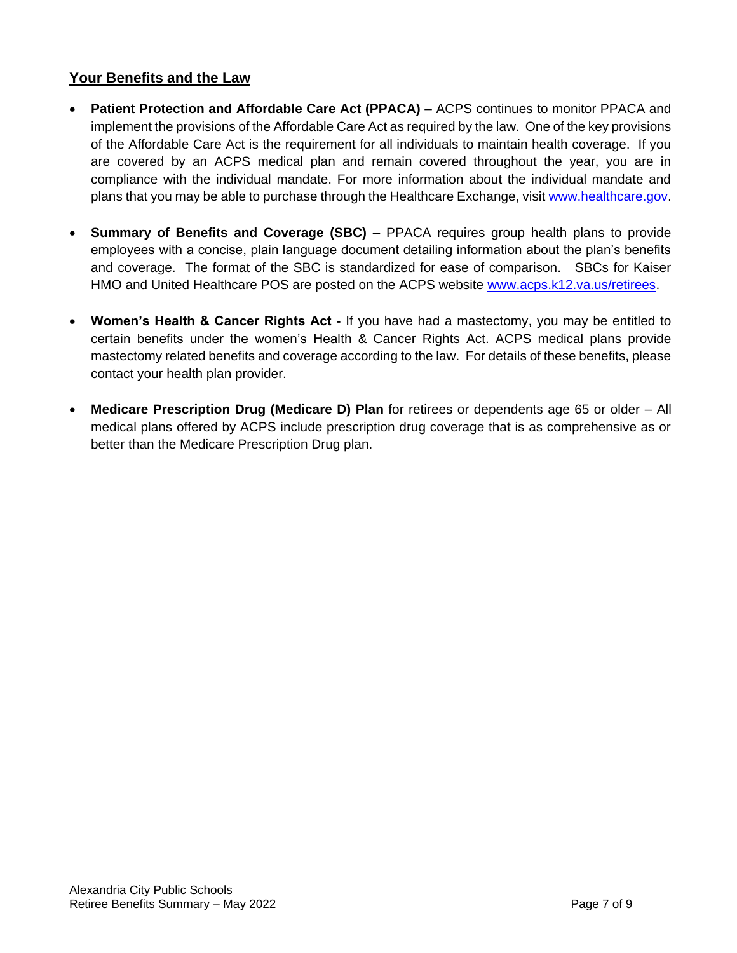# **Your Benefits and the Law**

- **Patient Protection and Affordable Care Act (PPACA)** ACPS continues to monitor PPACA and implement the provisions of the Affordable Care Act as required by the law. One of the key provisions of the Affordable Care Act is the requirement for all individuals to maintain health coverage. If you are covered by an ACPS medical plan and remain covered throughout the year, you are in compliance with the individual mandate. For more information about the individual mandate and plans that you may be able to purchase through the Healthcare Exchange, visit [www.healthcare.gov.](http://www.healthcare.gov/)
- **Summary of Benefits and Coverage (SBC)** PPACA requires group health plans to provide employees with a concise, plain language document detailing information about the plan's benefits and coverage. The format of the SBC is standardized for ease of comparison. SBCs for Kaiser HMO and United Healthcare POS are posted on the ACPS website [www.acps.k12.va.us/retirees.](http://www.acps.k12.va.us/retirees)
- **Women's Health & Cancer Rights Act -** If you have had a mastectomy, you may be entitled to certain benefits under the women's Health & Cancer Rights Act. ACPS medical plans provide mastectomy related benefits and coverage according to the law. For details of these benefits, please contact your health plan provider.
- **Medicare Prescription Drug (Medicare D) Plan** for retirees or dependents age 65 or older All medical plans offered by ACPS include prescription drug coverage that is as comprehensive as or better than the Medicare Prescription Drug plan.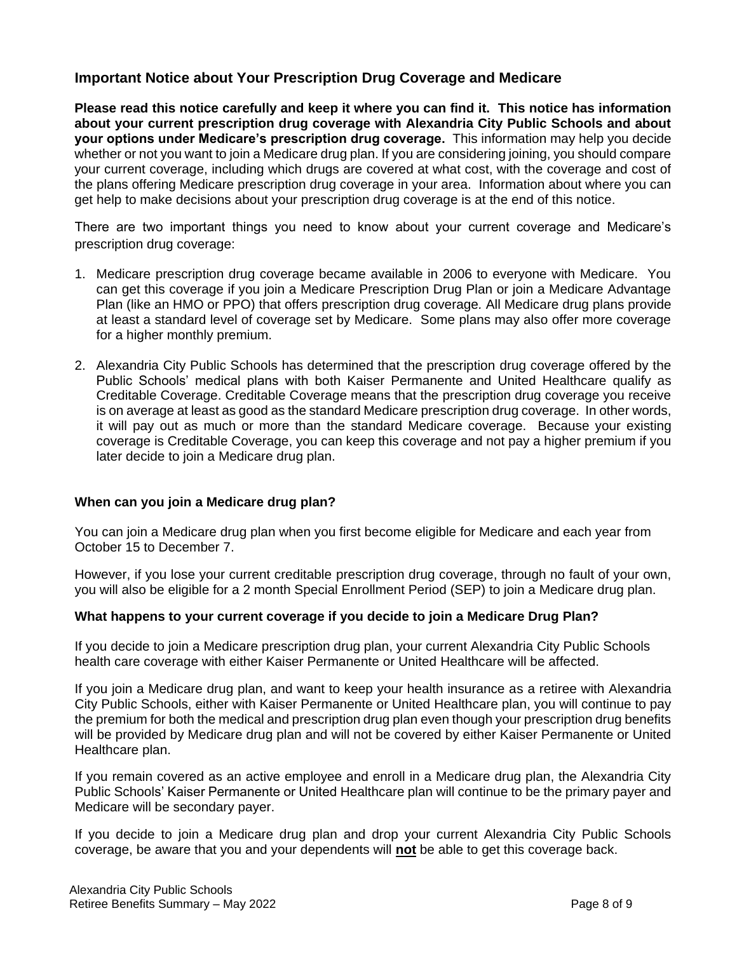# **Important Notice about Your Prescription Drug Coverage and Medicare**

**Please read this notice carefully and keep it where you can find it. This notice has information about your current prescription drug coverage with Alexandria City Public Schools and about your options under Medicare's prescription drug coverage.** This information may help you decide whether or not you want to join a Medicare drug plan. If you are considering joining, you should compare your current coverage, including which drugs are covered at what cost, with the coverage and cost of the plans offering Medicare prescription drug coverage in your area. Information about where you can get help to make decisions about your prescription drug coverage is at the end of this notice.

There are two important things you need to know about your current coverage and Medicare's prescription drug coverage:

- 1. Medicare prescription drug coverage became available in 2006 to everyone with Medicare. You can get this coverage if you join a Medicare Prescription Drug Plan or join a Medicare Advantage Plan (like an HMO or PPO) that offers prescription drug coverage*.* All Medicare drug plans provide at least a standard level of coverage set by Medicare. Some plans may also offer more coverage for a higher monthly premium.
- 2. Alexandria City Public Schools has determined that the prescription drug coverage offered by the Public Schools' medical plans with both Kaiser Permanente and United Healthcare qualify as Creditable Coverage. Creditable Coverage means that the prescription drug coverage you receive is on average at least as good as the standard Medicare prescription drug coverage. In other words, it will pay out as much or more than the standard Medicare coverage. Because your existing coverage is Creditable Coverage, you can keep this coverage and not pay a higher premium if you later decide to join a Medicare drug plan.

#### **When can you join a Medicare drug plan?**

You can join a Medicare drug plan when you first become eligible for Medicare and each year from October 15 to December 7.

However, if you lose your current creditable prescription drug coverage, through no fault of your own, you will also be eligible for a 2 month Special Enrollment Period (SEP) to join a Medicare drug plan.

#### **What happens to your current coverage if you decide to join a Medicare Drug Plan?**

If you decide to join a Medicare prescription drug plan, your current Alexandria City Public Schools health care coverage with either Kaiser Permanente or United Healthcare will be affected.

If you join a Medicare drug plan, and want to keep your health insurance as a retiree with Alexandria City Public Schools, either with Kaiser Permanente or United Healthcare plan, you will continue to pay the premium for both the medical and prescription drug plan even though your prescription drug benefits will be provided by Medicare drug plan and will not be covered by either Kaiser Permanente or United Healthcare plan.

If you remain covered as an active employee and enroll in a Medicare drug plan, the Alexandria City Public Schools' Kaiser Permanente or United Healthcare plan will continue to be the primary payer and Medicare will be secondary payer.

If you decide to join a Medicare drug plan and drop your current Alexandria City Public Schools coverage, be aware that you and your dependents will **not** be able to get this coverage back.